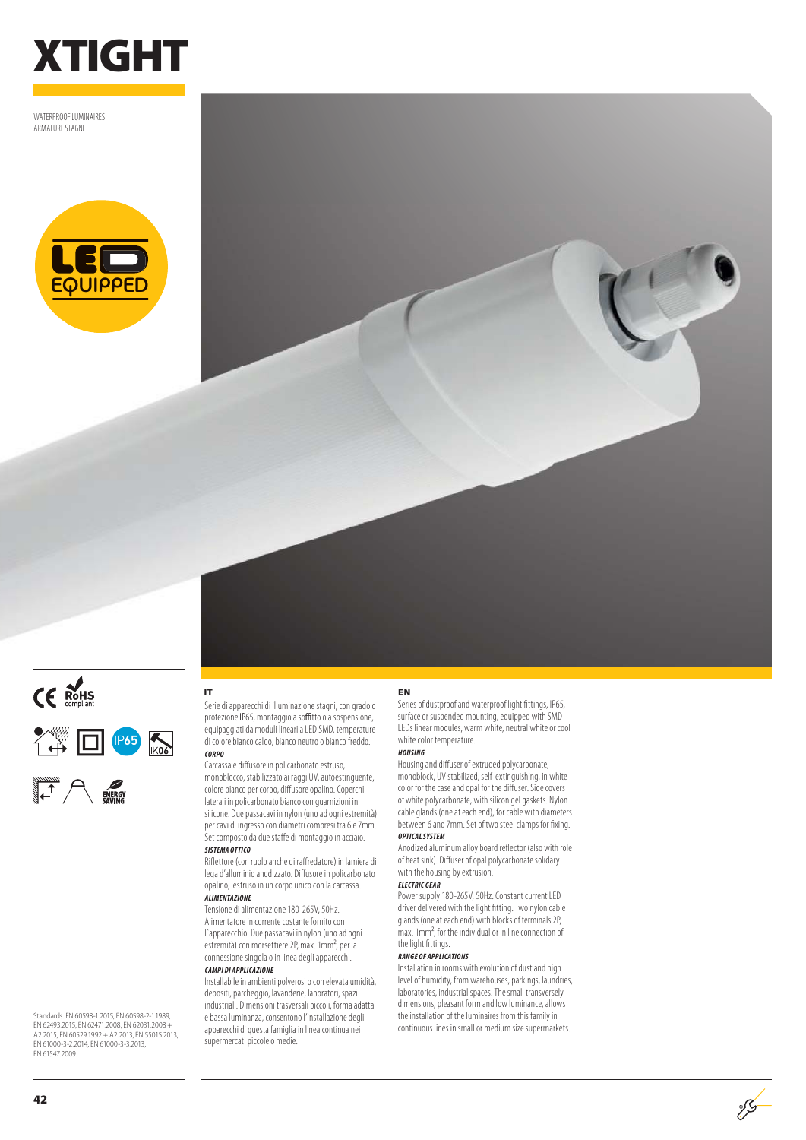

WATEDDDOOE LUMINAIDES ARMATURE STAGNE







**IT**

Serie di apparecchi di illuminazione stagni, con grado d protezione IP65, montaggio a soffitto o a sospensione, equipaggiati da moduli lineari a LED SMD, temperature di colore bianco caldo, bianco neutro o bianco freddo. **CORPO**

## Carcassa e diffusore in policarbonato estruso,

monoblocco, stabilizzato ai raggi UV, autoestinguente, colore bianco per corpo, diffusore opalino. Coperchi laterali in policarbonato bianco con guarnizioni in silicone. Due passacavi in nylon (uno ad ogni estremità) per cavi di ingresso con diametri compresi tra 6 e 7mm. Set composto da due staffe di montaggio in acciaio.

## **SISTEMA OTTICO**

Riflettore (con ruolo anche di raffredatore) in lamiera di lega d'alluminio anodizzato. Diffusore in policarbonato opalino, estruso in un corpo unico con la carcassa. **ALIMENTAZIONE**

Tensione di alimentazione 180-265V, 50Hz. Alimentatore in corrente costante fornito con l`apparecchio. Due passacavi in nylon (uno ad ogni estremità) con morsettiere 2P, max. 1mm<sup>2</sup>, per la connessione singola o in linea degli apparecchi. **CAMPI DI APPLICAZIONE**

Installabile in ambienti polverosi o con elevata umidità, depositi, parcheggio, lavanderie, laboratori, spazi industriali. Dimensioni trasversali piccoli, forma adatta e bassa luminanza, consentono l'installazione degli apparecchi di questa famiglia in linea continua nei supermercati piccole o medie.

### **EN**

Series of dustproof and waterproof light fittings, IP65, IP65, surface or suspended mounting, equipped with SMD LEDs linear modules, warm white, neutral white or cool white color temperature.

#### **HOUSING**

Housing and diffuser of extruded polycarbonate, monoblock, UV stabilized, self-extinguishing, in white color for the case and opal for the diffuser. Side covers of white polycarbonate, with silicon gel gaskets. Nylon cable glands (one at each end), for cable with diameters between 6 and 7mm. Set of two steel clamps for fixing. **OPTICAL SYSTEM**

Anodized aluminum alloy board reflector (also with role of heat sink). Diffuser of opal polycarbonate solidary with the housing by extrusion.

#### **ELECTRIC GEAR**

Power supply 180-265V, 50Hz. Constant current LED driver delivered with the light fitting. Two nylon cable glands (one at each end) with blocks of terminals 2P, max. 1mm2, for the individual or in line connection of the light fittings.

#### **RANGE OF APPLICATIONS**

Installation in rooms with evolution of dust and high level of humidity, from warehouses, parkings, laundries, laboratories, industrial spaces. The small transversely dimensions, pleasant form and low luminance, allows the installation of the luminaires from this family in continuous lines in small or medium size supermarkets.

 $\mathscr{S}$ 

Standards: EN 60598-1:2015, EN 60598-2-1:1989, EN 62493:2015, EN 62471:2008, EN 62031:2008 + A2:2015, EN 60529:1992 + A2:2013, EN 55015:2013, EN 61000-3-2:2014, EN 61000-3-3:2013, EN 61547:2009.